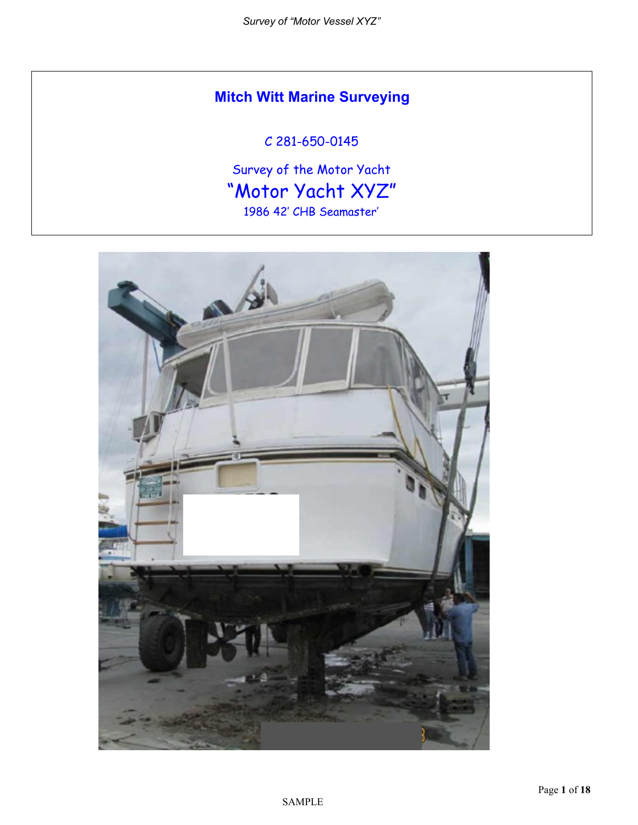# **Mitch Witt Marine Surveying**

# C 281-650-0145

Survey of the Motor Yacht "Motor Yacht XYZ" 1986 42' CHB Seamaster'

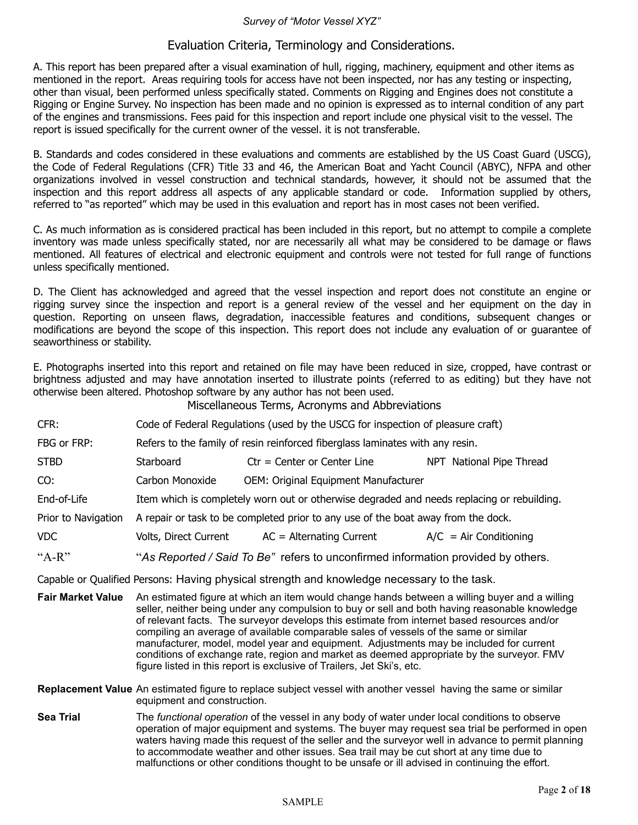#### *Survey of "Motor Vessel XYZ"*

#### Evaluation Criteria, Terminology and Considerations.

A. This report has been prepared after a visual examination of hull, rigging, machinery, equipment and other items as mentioned in the report. Areas requiring tools for access have not been inspected, nor has any testing or inspecting, other than visual, been performed unless specifically stated. Comments on Rigging and Engines does not constitute a Rigging or Engine Survey. No inspection has been made and no opinion is expressed as to internal condition of any part of the engines and transmissions. Fees paid for this inspection and report include one physical visit to the vessel. The report is issued specifically for the current owner of the vessel. it is not transferable.

B. Standards and codes considered in these evaluations and comments are established by the US Coast Guard (USCG), the Code of Federal Regulations (CFR) Title 33 and 46, the American Boat and Yacht Council (ABYC), NFPA and other organizations involved in vessel construction and technical standards, however, it should not be assumed that the inspection and this report address all aspects of any applicable standard or code. Information supplied by others, referred to "as reported" which may be used in this evaluation and report has in most cases not been verified.

C. As much information as is considered practical has been included in this report, but no attempt to compile a complete inventory was made unless specifically stated, nor are necessarily all what may be considered to be damage or flaws mentioned. All features of electrical and electronic equipment and controls were not tested for full range of functions unless specifically mentioned.

D. The Client has acknowledged and agreed that the vessel inspection and report does not constitute an engine or rigging survey since the inspection and report is a general review of the vessel and her equipment on the day in question. Reporting on unseen flaws, degradation, inaccessible features and conditions, subsequent changes or modifications are beyond the scope of this inspection. This report does not include any evaluation of or guarantee of seaworthiness or stability.

E. Photographs inserted into this report and retained on file may have been reduced in size, cropped, have contrast or brightness adjusted and may have annotation inserted to illustrate points (referred to as editing) but they have not otherwise been altered. Photoshop software by any author has not been used. Miscellaneous Terms, Acronyms and Abbreviations

|                                                                                             |                                                                                                                                                                                                                                                                                                                                                                                                                                                                                                                                                                                                                                                         | <b>MISCELLATIOUS TELLIIS, ACTORITIS AND ADDITIONALIS</b>                                                                                                                                       |                          |
|---------------------------------------------------------------------------------------------|---------------------------------------------------------------------------------------------------------------------------------------------------------------------------------------------------------------------------------------------------------------------------------------------------------------------------------------------------------------------------------------------------------------------------------------------------------------------------------------------------------------------------------------------------------------------------------------------------------------------------------------------------------|------------------------------------------------------------------------------------------------------------------------------------------------------------------------------------------------|--------------------------|
| CFR:                                                                                        | Code of Federal Regulations (used by the USCG for inspection of pleasure craft)                                                                                                                                                                                                                                                                                                                                                                                                                                                                                                                                                                         |                                                                                                                                                                                                |                          |
| FBG or FRP:                                                                                 | Refers to the family of resin reinforced fiberglass laminates with any resin.                                                                                                                                                                                                                                                                                                                                                                                                                                                                                                                                                                           |                                                                                                                                                                                                |                          |
| <b>STBD</b>                                                                                 | Starboard                                                                                                                                                                                                                                                                                                                                                                                                                                                                                                                                                                                                                                               | $ctr = Center$ or Center Line                                                                                                                                                                  | NPT National Pipe Thread |
| CO:                                                                                         | Carbon Monoxide                                                                                                                                                                                                                                                                                                                                                                                                                                                                                                                                                                                                                                         | OEM: Original Equipment Manufacturer                                                                                                                                                           |                          |
| End-of-Life                                                                                 | Item which is completely worn out or otherwise degraded and needs replacing or rebuilding.                                                                                                                                                                                                                                                                                                                                                                                                                                                                                                                                                              |                                                                                                                                                                                                |                          |
| Prior to Navigation                                                                         |                                                                                                                                                                                                                                                                                                                                                                                                                                                                                                                                                                                                                                                         | A repair or task to be completed prior to any use of the boat away from the dock.                                                                                                              |                          |
| <b>VDC</b>                                                                                  | Volts, Direct Current                                                                                                                                                                                                                                                                                                                                                                                                                                                                                                                                                                                                                                   | AC = Alternating Current                                                                                                                                                                       | $A/C = Air Conditioning$ |
| " $A-R$ "                                                                                   |                                                                                                                                                                                                                                                                                                                                                                                                                                                                                                                                                                                                                                                         | "As Reported / Said To Be" refers to unconfirmed information provided by others.                                                                                                               |                          |
| Capable or Qualified Persons: Having physical strength and knowledge necessary to the task. |                                                                                                                                                                                                                                                                                                                                                                                                                                                                                                                                                                                                                                                         |                                                                                                                                                                                                |                          |
| <b>Fair Market Value</b>                                                                    | An estimated figure at which an item would change hands between a willing buyer and a willing<br>seller, neither being under any compulsion to buy or sell and both having reasonable knowledge<br>of relevant facts. The surveyor develops this estimate from internet based resources and/or<br>compiling an average of available comparable sales of vessels of the same or similar<br>manufacturer, model, model year and equipment. Adjustments may be included for current<br>conditions of exchange rate, region and market as deemed appropriate by the surveyor. FMV<br>figure listed in this report is exclusive of Trailers, Jet Ski's, etc. |                                                                                                                                                                                                |                          |
|                                                                                             | equipment and construction.                                                                                                                                                                                                                                                                                                                                                                                                                                                                                                                                                                                                                             | Replacement Value An estimated figure to replace subject vessel with another vessel having the same or similar                                                                                 |                          |
| <b>Sea Trial</b>                                                                            |                                                                                                                                                                                                                                                                                                                                                                                                                                                                                                                                                                                                                                                         | The functional operation of the vessel in any body of water under local conditions to observe<br>operation of maior equipment and systems. The buyer may request sea trial be performed in ope |                          |

 operation of major equipment and systems. The buyer may request sea trial be performed in open waters having made this request of the seller and the surveyor well in advance to permit planning to accommodate weather and other issues. Sea trail may be cut short at any time due to malfunctions or other conditions thought to be unsafe or ill advised in continuing the effort.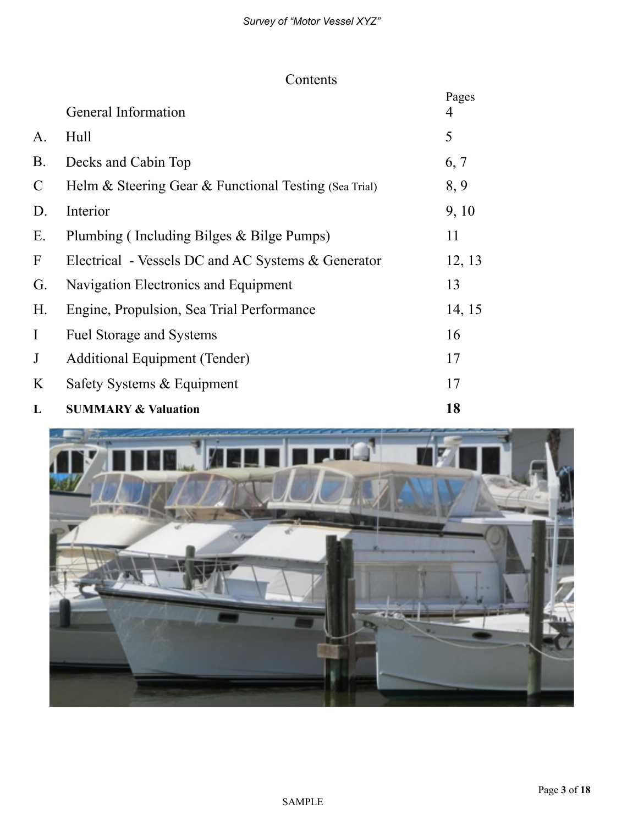# Contents

|                           | General Information                                         | Pages<br>4 |
|---------------------------|-------------------------------------------------------------|------------|
| A.                        | Hull                                                        | 5          |
| <b>B</b> .                | Decks and Cabin Top                                         | 6, 7       |
| $\mathcal{C}$             | Helm $\&$ Steering Gear $\&$ Functional Testing (Sea Trial) | 8,9        |
| D.                        | Interior                                                    | 9, 10      |
| Ε.                        | Plumbing (Including Bilges & Bilge Pumps)                   | 11         |
| $\boldsymbol{\mathrm{F}}$ | Electrical - Vessels DC and AC Systems & Generator          | 12, 13     |
| G.                        | Navigation Electronics and Equipment                        | 13         |
| H.                        | Engine, Propulsion, Sea Trial Performance                   | 14, 15     |
| $\bf{I}$                  | <b>Fuel Storage and Systems</b>                             | 16         |
| $\mathbf{J}$              | Additional Equipment (Tender)                               | 17         |
| K                         | Safety Systems & Equipment                                  | 17         |
| L                         | <b>SUMMARY &amp; Valuation</b>                              | 18         |

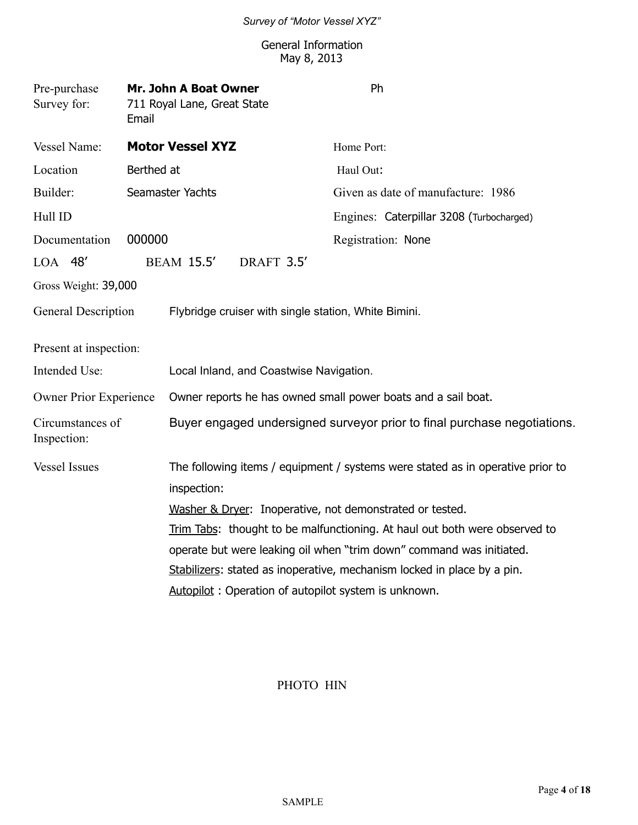#### General Information May 8, 2013

| Pre-purchase<br>Survey for:     | Email      | Mr. John A Boat Owner<br>711 Royal Lane, Great State |            | Ph                                                                             |
|---------------------------------|------------|------------------------------------------------------|------------|--------------------------------------------------------------------------------|
| Vessel Name:                    |            | <b>Motor Vessel XYZ</b>                              |            | Home Port:                                                                     |
| Location                        | Berthed at |                                                      |            | Haul Out:                                                                      |
| Builder:                        |            | Seamaster Yachts                                     |            | Given as date of manufacture: 1986                                             |
| Hull ID                         |            |                                                      |            | Engines: Caterpillar 3208 (Turbocharged)                                       |
| Documentation                   | 000000     |                                                      |            | Registration: None                                                             |
| $LOA$ 48'                       |            | <b>BEAM 15.5'</b>                                    | DRAFT 3.5' |                                                                                |
| Gross Weight: 39,000            |            |                                                      |            |                                                                                |
| General Description             |            |                                                      |            | Flybridge cruiser with single station, White Bimini.                           |
| Present at inspection:          |            |                                                      |            |                                                                                |
| Intended Use:                   |            | Local Inland, and Coastwise Navigation.              |            |                                                                                |
| Owner Prior Experience          |            |                                                      |            | Owner reports he has owned small power boats and a sail boat.                  |
| Circumstances of<br>Inspection: |            |                                                      |            | Buyer engaged undersigned surveyor prior to final purchase negotiations.       |
| <b>Vessel Issues</b>            |            |                                                      |            | The following items / equipment / systems were stated as in operative prior to |
|                                 |            | inspection:                                          |            |                                                                                |
|                                 |            |                                                      |            | Washer & Dryer: Inoperative, not demonstrated or tested.                       |
|                                 |            |                                                      |            | Trim Tabs: thought to be malfunctioning. At haul out both were observed to     |
|                                 |            |                                                      |            | operate but were leaking oil when "trim down" command was initiated.           |
|                                 |            |                                                      |            | Stabilizers: stated as inoperative, mechanism locked in place by a pin.        |
|                                 |            |                                                      |            | Autopilot: Operation of autopilot system is unknown.                           |

### PHOTO HIN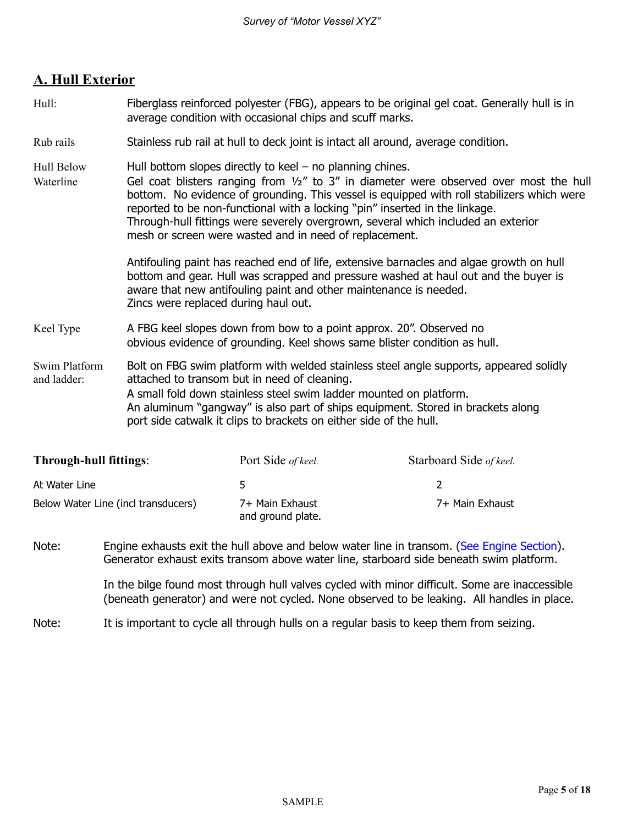# **A. Hull Exterior**

- Hull: Fiberglass reinforced polyester (FBG), appears to be original gel coat. Generally hull is in average condition with occasional chips and scuff marks.
- Rub rails Stainless rub rail at hull to deck joint is intact all around, average condition.

Hull Below Hull bottom slopes directly to keel – no planning chines.

Waterline Gel coat blisters ranging from  $1/2$ " to 3" in diameter were observed over most the hull bottom. No evidence of grounding. This vessel is equipped with roll stabilizers which were reported to be non-functional with a locking "pin" inserted in the linkage. Through-hull fittings were severely overgrown, several which included an exterior mesh or screen were wasted and in need of replacement.

> Antifouling paint has reached end of life, extensive barnacles and algae growth on hull bottom and gear. Hull was scrapped and pressure washed at haul out and the buyer is aware that new antifouling paint and other maintenance is needed. Zincs were replaced during haul out.

Keel Type A FBG keel slopes down from bow to a point approx. 20". Observed no obvious evidence of grounding. Keel shows same blister condition as hull.

Swim Platform Bolt on FBG swim platform with welded stainless steel angle supports, appeared solidly and ladder: attached to transom but in need of cleaning. A small fold down stainless steel swim ladder mounted on platform. An aluminum "gangway" is also part of ships equipment. Stored in brackets along port side catwalk it clips to brackets on either side of the hull.

| <b>Through-hull fittings:</b>       | Port Side of keel.                   | Starboard Side of keel. |
|-------------------------------------|--------------------------------------|-------------------------|
| At Water Line                       | ь                                    |                         |
| Below Water Line (incl transducers) | 7+ Main Exhaust<br>and ground plate. | 7+ Main Exhaust         |

Note: Engine exhausts exit the hull above and below water line in transom. (See Engine Section). Generator exhaust exits transom above water line, starboard side beneath swim platform.

> In the bilge found most through hull valves cycled with minor difficult. Some are inaccessible (beneath generator) and were not cycled. None observed to be leaking. All handles in place.

Note: It is important to cycle all through hulls on a regular basis to keep them from seizing.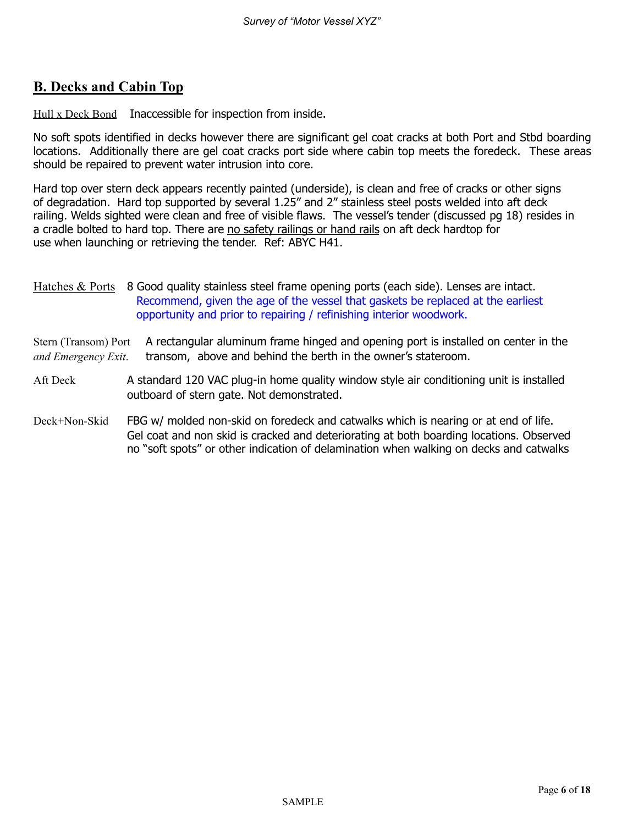# **B. Decks and Cabin Top**

Hull x Deck Bond Inaccessible for inspection from inside.

No soft spots identified in decks however there are significant gel coat cracks at both Port and Stbd boarding locations. Additionally there are gel coat cracks port side where cabin top meets the foredeck. These areas should be repaired to prevent water intrusion into core.

Hard top over stern deck appears recently painted (underside), is clean and free of cracks or other signs of degradation. Hard top supported by several 1.25" and 2" stainless steel posts welded into aft deck railing. Welds sighted were clean and free of visible flaws. The vessel's tender (discussed pg 18) resides in a cradle bolted to hard top. There are no safety railings or hand rails on aft deck hardtop for use when launching or retrieving the tender. Ref: ABYC H41.

Stern (Transom) Port A rectangular aluminum frame hinged and opening port is installed on center in the *and Emergency Exit*. transom, above and behind the berth in the owner's stateroom.

- Aft Deck A standard 120 VAC plug-in home quality window style air conditioning unit is installed outboard of stern gate. Not demonstrated.
- Deck+Non-Skid FBG w/ molded non-skid on foredeck and catwalks which is nearing or at end of life. Gel coat and non skid is cracked and deteriorating at both boarding locations. Observed no "soft spots" or other indication of delamination when walking on decks and catwalks

Hatches & Ports 8 Good quality stainless steel frame opening ports (each side). Lenses are intact. Recommend, given the age of the vessel that gaskets be replaced at the earliest opportunity and prior to repairing / refinishing interior woodwork.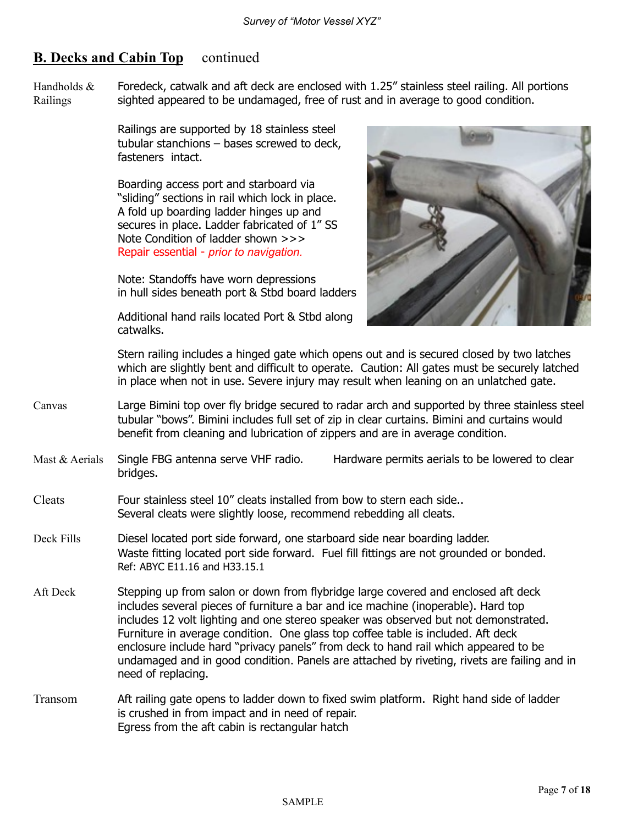## **B. Decks and Cabin Top** continued

Handholds  $&$  Foredeck, catwalk and aft deck are enclosed with 1.25" stainless steel railing. All portions Railings sighted appeared to be undamaged, free of rust and in average to good condition.

> Railings are supported by 18 stainless steel tubular stanchions – bases screwed to deck, fasteners intact.

> Boarding access port and starboard via "sliding" sections in rail which lock in place. A fold up boarding ladder hinges up and secures in place. Ladder fabricated of 1" SS Note Condition of ladder shown >>> Repair essential - *prior to navigation.*

 Note: Standoffs have worn depressions in hull sides beneath port & Stbd board ladders

 Additional hand rails located Port & Stbd along catwalks.



 Stern railing includes a hinged gate which opens out and is secured closed by two latches which are slightly bent and difficult to operate. Caution: All gates must be securely latched in place when not in use. Severe injury may result when leaning on an unlatched gate.

- Canvas Large Bimini top over fly bridge secured to radar arch and supported by three stainless steel tubular "bows". Bimini includes full set of zip in clear curtains. Bimini and curtains would benefit from cleaning and lubrication of zippers and are in average condition.
- Mast & Aerials Single FBG antenna serve VHF radio. Hardware permits aerials to be lowered to clear bridges.
- Cleats Four stainless steel 10" cleats installed from bow to stern each side.. Several cleats were slightly loose, recommend rebedding all cleats.
- Deck Fills Diesel located port side forward, one starboard side near boarding ladder. Waste fitting located port side forward. Fuel fill fittings are not grounded or bonded. Ref: ABYC E11.16 and H33.15.1
- Aft Deck Stepping up from salon or down from flybridge large covered and enclosed aft deck includes several pieces of furniture a bar and ice machine (inoperable). Hard top includes 12 volt lighting and one stereo speaker was observed but not demonstrated. Furniture in average condition. One glass top coffee table is included. Aft deck enclosure include hard "privacy panels" from deck to hand rail which appeared to be undamaged and in good condition. Panels are attached by riveting, rivets are failing and in need of replacing.
- Transom Aft railing gate opens to ladder down to fixed swim platform. Right hand side of ladder is crushed in from impact and in need of repair. Egress from the aft cabin is rectangular hatch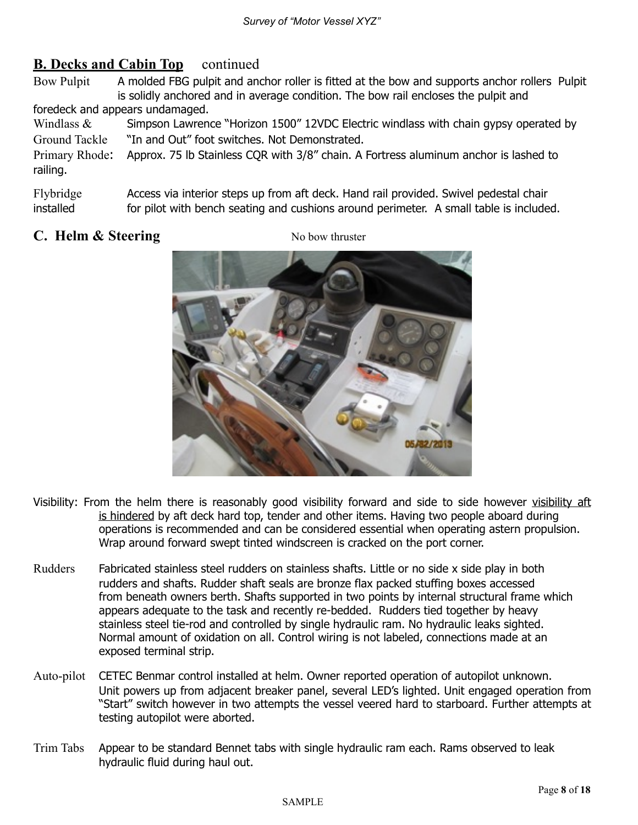# **B. Decks and Cabin Top** continued

Bow Pulpit A molded FBG pulpit and anchor roller is fitted at the bow and supports anchor rollers Pulpit is solidly anchored and in average condition. The bow rail encloses the pulpit and foredeck and appears undamaged.

Windlass  $&$  Simpson Lawrence "Horizon 1500" 12VDC Electric windlass with chain gypsy operated by Ground Tackle "In and Out" foot switches. Not Demonstrated.

Primary Rhode: Approx. 75 lb Stainless CQR with 3/8" chain. A Fortress aluminum anchor is lashed to railing.

Flybridge Access via interior steps up from aft deck. Hand rail provided. Swivel pedestal chair installed for pilot with bench seating and cushions around perimeter. A small table is included.

# **C. Helm & Steering** No bow thruster



- Visibility: From the helm there is reasonably good visibility forward and side to side however visibility aft is hindered by aft deck hard top, tender and other items. Having two people aboard during operations is recommended and can be considered essential when operating astern propulsion. Wrap around forward swept tinted windscreen is cracked on the port corner.
- Rudders Fabricated stainless steel rudders on stainless shafts. Little or no side x side play in both rudders and shafts. Rudder shaft seals are bronze flax packed stuffing boxes accessed from beneath owners berth. Shafts supported in two points by internal structural frame which appears adequate to the task and recently re-bedded. Rudders tied together by heavy stainless steel tie-rod and controlled by single hydraulic ram. No hydraulic leaks sighted. Normal amount of oxidation on all. Control wiring is not labeled, connections made at an exposed terminal strip.
- Auto-pilot CETEC Benmar control installed at helm. Owner reported operation of autopilot unknown. Unit powers up from adjacent breaker panel, several LED's lighted. Unit engaged operation from "Start" switch however in two attempts the vessel veered hard to starboard. Further attempts at testing autopilot were aborted.
- Trim Tabs Appear to be standard Bennet tabs with single hydraulic ram each. Rams observed to leak hydraulic fluid during haul out.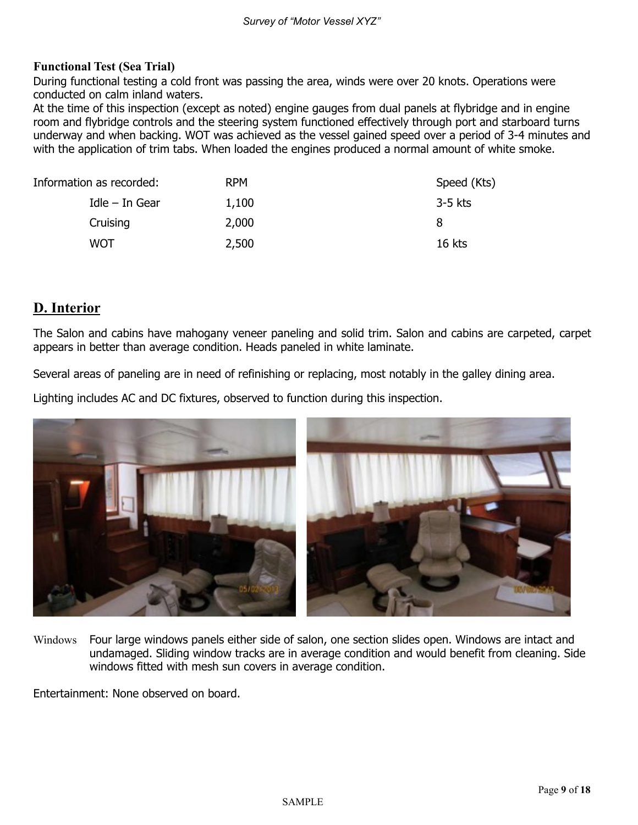#### **Functional Test (Sea Trial)**

During functional testing a cold front was passing the area, winds were over 20 knots. Operations were conducted on calm inland waters.

At the time of this inspection (except as noted) engine gauges from dual panels at flybridge and in engine room and flybridge controls and the steering system functioned effectively through port and starboard turns underway and when backing. WOT was achieved as the vessel gained speed over a period of 3-4 minutes and with the application of trim tabs. When loaded the engines produced a normal amount of white smoke.

| Information as recorded: |                  | <b>RPM</b> | Speed (Kts) |
|--------------------------|------------------|------------|-------------|
|                          | $Idle$ – In Gear | 1,100      | $3-5$ kts   |
|                          | Cruising         | 2,000      | 8           |
|                          | WOT              | 2,500      | 16 kts      |

## **D. Interior**

The Salon and cabins have mahogany veneer paneling and solid trim. Salon and cabins are carpeted, carpet appears in better than average condition. Heads paneled in white laminate.

Several areas of paneling are in need of refinishing or replacing, most notably in the galley dining area.

Lighting includes AC and DC fixtures, observed to function during this inspection.



Windows Four large windows panels either side of salon, one section slides open. Windows are intact and undamaged. Sliding window tracks are in average condition and would benefit from cleaning. Side windows fitted with mesh sun covers in average condition.

Entertainment: None observed on board.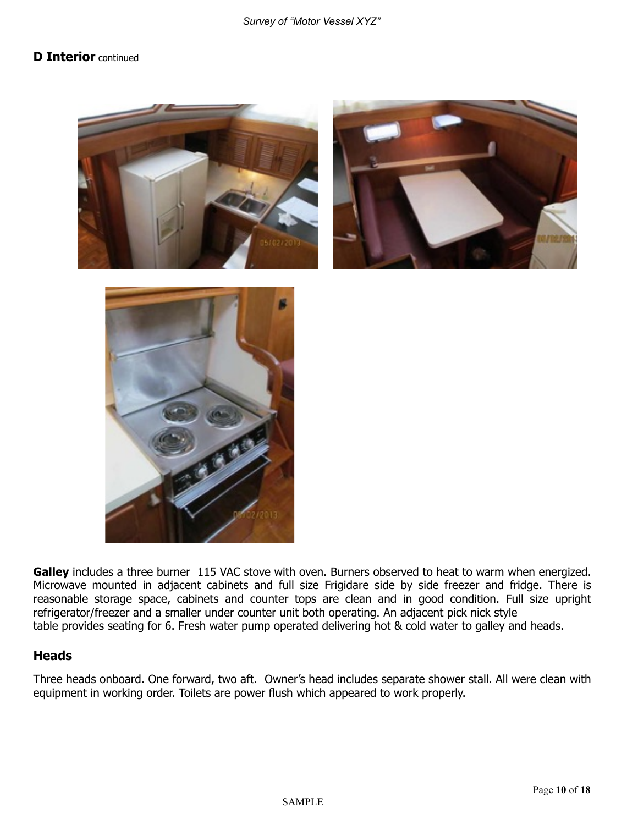#### **D Interior** continued







Galley includes a three burner 115 VAC stove with oven. Burners observed to heat to warm when energized. Microwave mounted in adjacent cabinets and full size Frigidare side by side freezer and fridge. There is reasonable storage space, cabinets and counter tops are clean and in good condition. Full size upright refrigerator/freezer and a smaller under counter unit both operating. An adjacent pick nick style table provides seating for 6. Fresh water pump operated delivering hot & cold water to galley and heads.

#### **Heads**

Three heads onboard. One forward, two aft. Owner's head includes separate shower stall. All were clean with equipment in working order. Toilets are power flush which appeared to work properly.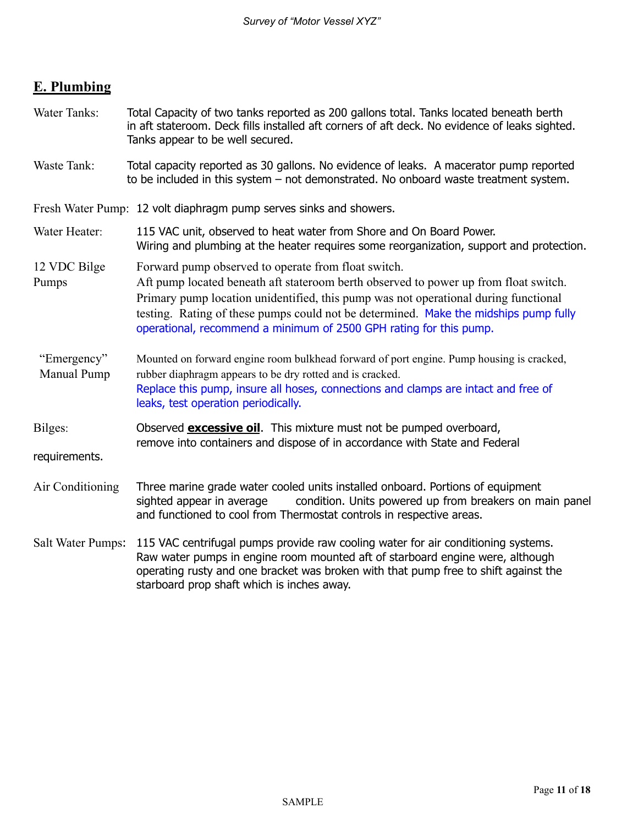# **E. Plumbing**

| Water Tanks:               | Total Capacity of two tanks reported as 200 gallons total. Tanks located beneath berth<br>in aft stateroom. Deck fills installed aft corners of aft deck. No evidence of leaks sighted.<br>Tanks appear to be well secured.                                                                                                                                                                      |  |
|----------------------------|--------------------------------------------------------------------------------------------------------------------------------------------------------------------------------------------------------------------------------------------------------------------------------------------------------------------------------------------------------------------------------------------------|--|
| Waste Tank:                | Total capacity reported as 30 gallons. No evidence of leaks. A macerator pump reported<br>to be included in this system – not demonstrated. No onboard waste treatment system.                                                                                                                                                                                                                   |  |
|                            | Fresh Water Pump: 12 volt diaphragm pump serves sinks and showers.                                                                                                                                                                                                                                                                                                                               |  |
| Water Heater:              | 115 VAC unit, observed to heat water from Shore and On Board Power.<br>Wiring and plumbing at the heater requires some reorganization, support and protection.                                                                                                                                                                                                                                   |  |
| 12 VDC Bilge<br>Pumps      | Forward pump observed to operate from float switch.<br>Aft pump located beneath aft stateroom berth observed to power up from float switch.<br>Primary pump location unidentified, this pump was not operational during functional<br>testing. Rating of these pumps could not be determined. Make the midships pump fully<br>operational, recommend a minimum of 2500 GPH rating for this pump. |  |
| "Emergency"<br>Manual Pump | Mounted on forward engine room bulkhead forward of port engine. Pump housing is cracked,<br>rubber diaphragm appears to be dry rotted and is cracked.<br>Replace this pump, insure all hoses, connections and clamps are intact and free of<br>leaks, test operation periodically.                                                                                                               |  |
| Bilges:                    | Observed <b>excessive oil</b> . This mixture must not be pumped overboard,<br>remove into containers and dispose of in accordance with State and Federal                                                                                                                                                                                                                                         |  |
| requirements.              |                                                                                                                                                                                                                                                                                                                                                                                                  |  |
| Air Conditioning           | Three marine grade water cooled units installed onboard. Portions of equipment<br>condition. Units powered up from breakers on main panel<br>sighted appear in average<br>and functioned to cool from Thermostat controls in respective areas.                                                                                                                                                   |  |
| Salt Water Pumps:          | 115 VAC centrifugal pumps provide raw cooling water for air conditioning systems.<br>Raw water pumps in engine room mounted aft of starboard engine were, although<br>operating rusty and one bracket was broken with that pump free to shift against the<br>starboard prop shaft which is inches away.                                                                                          |  |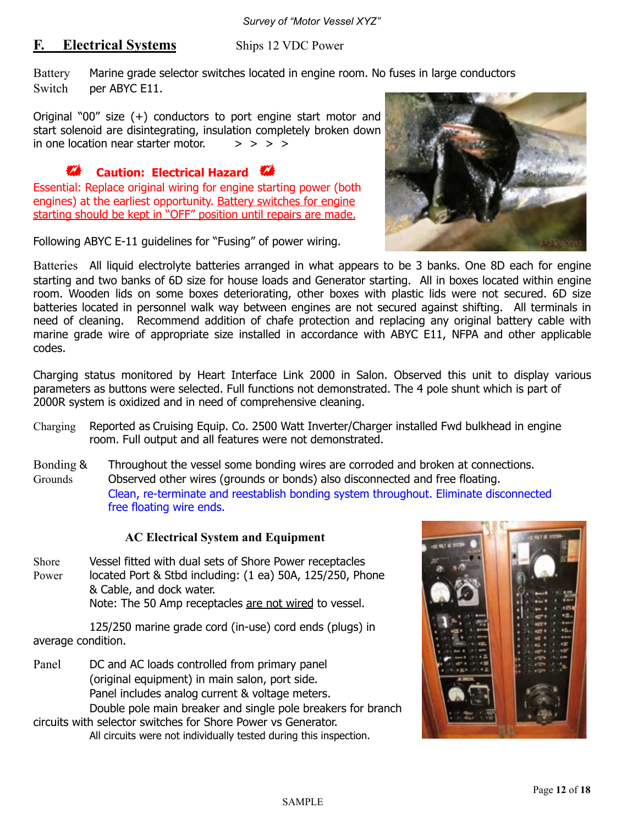### **F.** Electrical Systems Ships 12 VDC Power

Battery Marine grade selector switches located in engine room. No fuses in large conductors Switch per ABYC E11.

Original "00" size (+) conductors to port engine start motor and start solenoid are disintegrating, insulation completely broken down in one location near starter motor.  $\Rightarrow$  > > >

## ! **Caution: Electrical Hazard** !

Essential: Replace original wiring for engine starting power (both engines) at the earliest opportunity. Battery switches for engine starting should be kept in "OFF" position until repairs are made.

Following ABYC E-11 guidelines for "Fusing" of power wiring.



Batteries All liquid electrolyte batteries arranged in what appears to be 3 banks. One 8D each for engine starting and two banks of 6D size for house loads and Generator starting. All in boxes located within engine room. Wooden lids on some boxes deteriorating, other boxes with plastic lids were not secured. 6D size batteries located in personnel walk way between engines are not secured against shifting. All terminals in need of cleaning. Recommend addition of chafe protection and replacing any original battery cable with marine grade wire of appropriate size installed in accordance with ABYC E11, NFPA and other applicable codes.

Charging status monitored by Heart Interface Link 2000 in Salon. Observed this unit to display various parameters as buttons were selected. Full functions not demonstrated. The 4 pole shunt which is part of 2000R system is oxidized and in need of comprehensive cleaning.

- Charging Reported as Cruising Equip. Co. 2500 Watt Inverter/Charger installed Fwd bulkhead in engine room. Full output and all features were not demonstrated.
- Bonding & Throughout the vessel some bonding wires are corroded and broken at connections. Grounds Observed other wires (grounds or bonds) also disconnected and free floating. Clean, re-terminate and reestablish bonding system throughout. Eliminate disconnected free floating wire ends.

#### **AC Electrical System and Equipment**

Shore Vessel fitted with dual sets of Shore Power receptacles Power located Port & Stbd including: (1 ea) 50A, 125/250, Phone & Cable, and dock water. Note: The 50 Amp receptacles are not wired to vessel.

 125/250 marine grade cord (in-use) cord ends (plugs) in average condition.

Panel DC and AC loads controlled from primary panel (original equipment) in main salon, port side. Panel includes analog current & voltage meters. Double pole main breaker and single pole breakers for branch

circuits with selector switches for Shore Power vs Generator. All circuits were not individually tested during this inspection.

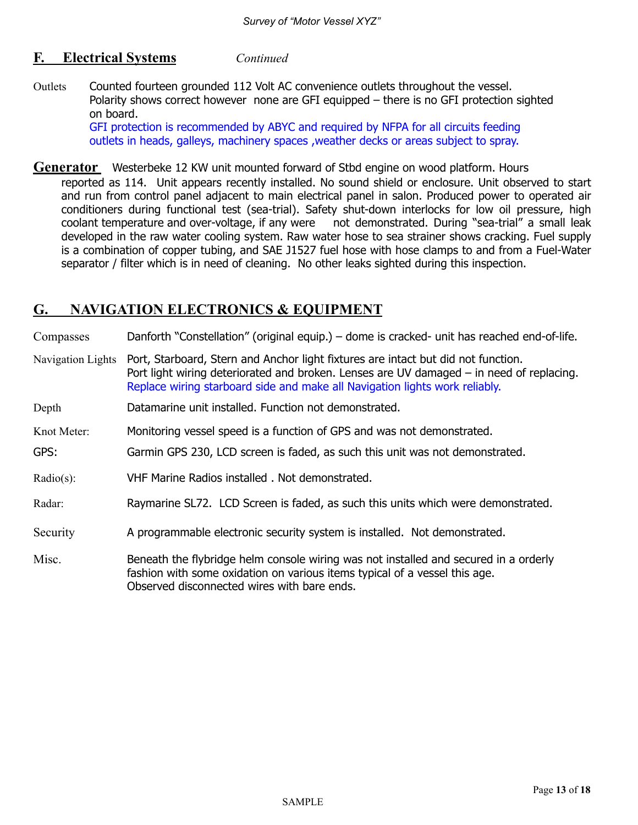#### **F. Electrical Systems** *Continued*

Outlets Counted fourteen grounded 112 Volt AC convenience outlets throughout the vessel. Polarity shows correct however none are GFI equipped – there is no GFI protection sighted on board.

> GFI protection is recommended by ABYC and required by NFPA for all circuits feeding outlets in heads, galleys, machinery spaces ,weather decks or areas subject to spray.

- **Generator** Westerbeke 12 KW unit mounted forward of Stbd engine on wood platform. Hours
	- reported as 114. Unit appears recently installed. No sound shield or enclosure. Unit observed to start and run from control panel adjacent to main electrical panel in salon. Produced power to operated air conditioners during functional test (sea-trial). Safety shut-down interlocks for low oil pressure, high coolant temperature and over-voltage, if any were not demonstrated. During "sea-trial" a small leak developed in the raw water cooling system. Raw water hose to sea strainer shows cracking. Fuel supply is a combination of copper tubing, and SAE J1527 fuel hose with hose clamps to and from a Fuel-Water separator / filter which is in need of cleaning. No other leaks sighted during this inspection.

## **G. NAVIGATION ELECTRONICS & EQUIPMENT**

Compasses Danforth "Constellation" (original equip.) – dome is cracked- unit has reached end-of-life.

- Navigation Lights Port, Starboard, Stern and Anchor light fixtures are intact but did not function. Port light wiring deteriorated and broken. Lenses are UV damaged – in need of replacing. Replace wiring starboard side and make all Navigation lights work reliably.
- Depth Datamarine unit installed. Function not demonstrated.
- Knot Meter: Monitoring vessel speed is a function of GPS and was not demonstrated.
- GPS: Garmin GPS 230, LCD screen is faded, as such this unit was not demonstrated.
- Radio(s): VHF Marine Radios installed . Not demonstrated.
- Radar: Raymarine SL72. LCD Screen is faded, as such this units which were demonstrated.
- Security **A** programmable electronic security system is installed. Not demonstrated.

Misc. Beneath the flybridge helm console wiring was not installed and secured in a orderly fashion with some oxidation on various items typical of a vessel this age. Observed disconnected wires with bare ends.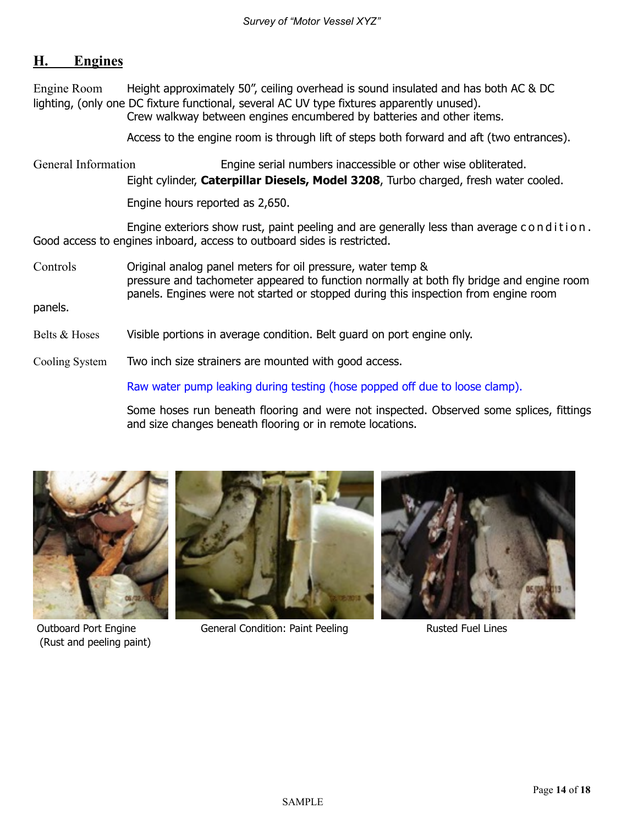## **H. Engines**

Engine Room Height approximately 50", ceiling overhead is sound insulated and has both AC & DC lighting, (only one DC fixture functional, several AC UV type fixtures apparently unused). Crew walkway between engines encumbered by batteries and other items.

Access to the engine room is through lift of steps both forward and aft (two entrances).

General Information Engine serial numbers inaccessible or other wise obliterated. Eight cylinder, **Caterpillar Diesels, Model 3208**, Turbo charged, fresh water cooled.

Engine hours reported as 2,650.

Engine exteriors show rust, paint peeling and are generally less than average condition. Good access to engines inboard, access to outboard sides is restricted.

Controls Original analog panel meters for oil pressure, water temp & pressure and tachometer appeared to function normally at both fly bridge and engine room panels. Engines were not started or stopped during this inspection from engine room

panels.

- Belts & Hoses Visible portions in average condition. Belt guard on port engine only.
- Cooling System Two inch size strainers are mounted with good access.

Raw water pump leaking during testing (hose popped off due to loose clamp).

 Some hoses run beneath flooring and were not inspected. Observed some splices, fittings and size changes beneath flooring or in remote locations.



(Rust and peeling paint)



Outboard Port Engine General Condition: Paint Peeling Rusted Fuel Lines

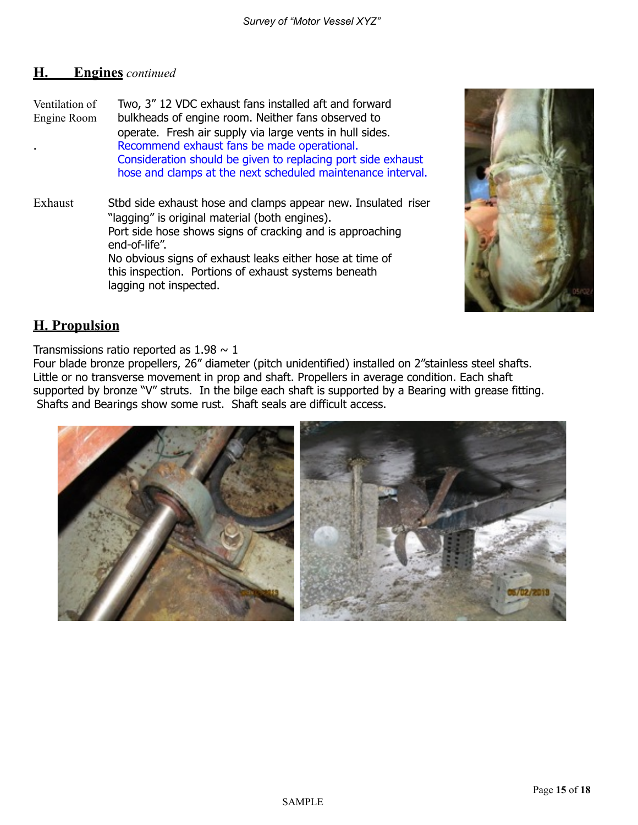### **H. Engines** *continued*

Ventilation of Two, 3" 12 VDC exhaust fans installed aft and forward Engine Room bulkheads of engine room. Neither fans observed to operate. Fresh air supply via large vents in hull sides. . Recommend exhaust fans be made operational. Consideration should be given to replacing port side exhaust hose and clamps at the next scheduled maintenance interval.

Exhaust Stbd side exhaust hose and clamps appear new. Insulated riser "lagging" is original material (both engines). Port side hose shows signs of cracking and is approaching end-of-life". No obvious signs of exhaust leaks either hose at time of this inspection. Portions of exhaust systems beneath lagging not inspected.



# **H. Propulsion**

Transmissions ratio reported as  $1.98 \sim 1$ 

Four blade bronze propellers, 26" diameter (pitch unidentified) installed on 2"stainless steel shafts. Little or no transverse movement in prop and shaft. Propellers in average condition. Each shaft supported by bronze "V" struts. In the bilge each shaft is supported by a Bearing with grease fitting. Shafts and Bearings show some rust. Shaft seals are difficult access.

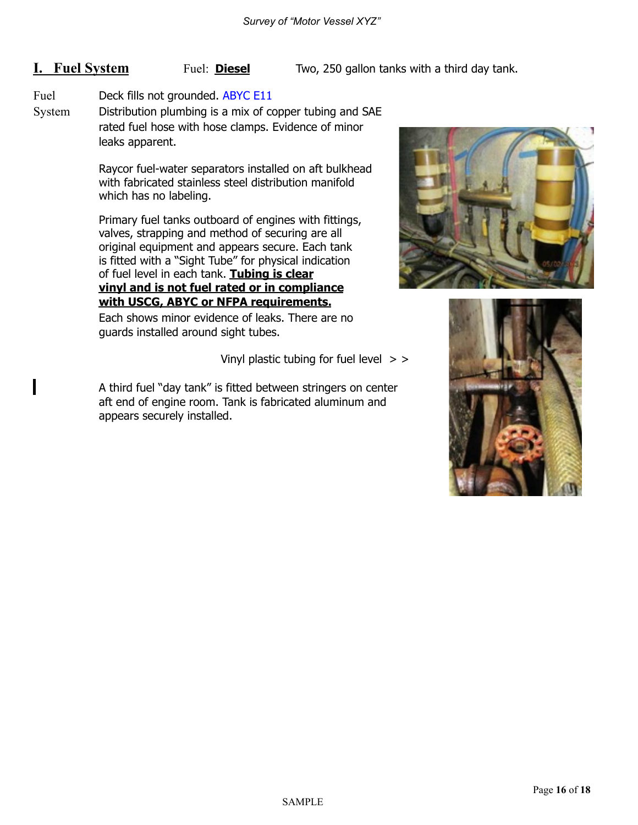**I.** Fuel System Fuel: **Diesel** Two, 250 gallon tanks with a third day tank.

#### Fuel Deck fills not grounded. ABYC E11

System Distribution plumbing is a mix of copper tubing and SAE rated fuel hose with hose clamps. Evidence of minor leaks apparent.

> Raycor fuel-water separators installed on aft bulkhead with fabricated stainless steel distribution manifold which has no labeling.

 Primary fuel tanks outboard of engines with fittings, valves, strapping and method of securing are all original equipment and appears secure. Each tank is fitted with a "Sight Tube" for physical indication of fuel level in each tank. **Tubing is clear vinyl and is not fuel rated or in compliance with USCG, ABYC or NFPA requirements.**

Each shows minor evidence of leaks. There are no guards installed around sight tubes.

Vinyl plastic tubing for fuel level  $>$  >

A third fuel "day tank" is fitted between stringers on center aft end of engine room. Tank is fabricated aluminum and appears securely installed.



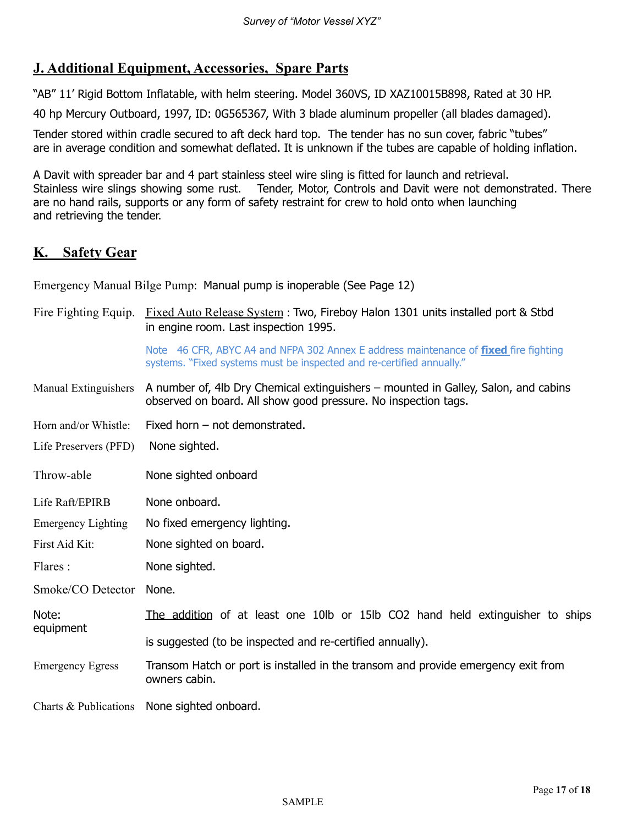# **J. Additional Equipment, Accessories, Spare Parts**

"AB" 11' Rigid Bottom Inflatable, with helm steering. Model 360VS, ID XAZ10015B898, Rated at 30 HP.

40 hp Mercury Outboard, 1997, ID: 0G565367, With 3 blade aluminum propeller (all blades damaged).

Tender stored within cradle secured to aft deck hard top. The tender has no sun cover, fabric "tubes" are in average condition and somewhat deflated. It is unknown if the tubes are capable of holding inflation.

A Davit with spreader bar and 4 part stainless steel wire sling is fitted for launch and retrieval. Stainless wire slings showing some rust. Tender, Motor, Controls and Davit were not demonstrated. There are no hand rails, supports or any form of safety restraint for crew to hold onto when launching and retrieving the tender.

## **K. Safety Gear**

Emergency Manual Bilge Pump: Manual pump is inoperable (See Page 12)

|                           | Fire Fighting Equip. Fixed Auto Release System : Two, Fireboy Halon 1301 units installed port & Stbd<br>in engine room. Last inspection 1995.                        |  |  |
|---------------------------|----------------------------------------------------------------------------------------------------------------------------------------------------------------------|--|--|
|                           | Note 46 CFR, ABYC A4 and NFPA 302 Annex E address maintenance of <b>fixed</b> fire fighting<br>systems. "Fixed systems must be inspected and re-certified annually." |  |  |
| Manual Extinguishers      | A number of, 4lb Dry Chemical extinguishers – mounted in Galley, Salon, and cabins<br>observed on board. All show good pressure. No inspection tags.                 |  |  |
| Horn and/or Whistle:      | Fixed horn $-$ not demonstrated.                                                                                                                                     |  |  |
| Life Preservers (PFD)     | None sighted.                                                                                                                                                        |  |  |
| Throw-able                | None sighted onboard                                                                                                                                                 |  |  |
| Life Raft/EPIRB           | None onboard.                                                                                                                                                        |  |  |
| <b>Emergency Lighting</b> | No fixed emergency lighting.                                                                                                                                         |  |  |
| First Aid Kit:            | None sighted on board.                                                                                                                                               |  |  |
| Flares:                   | None sighted.                                                                                                                                                        |  |  |
| Smoke/CO Detector         | None.                                                                                                                                                                |  |  |
| Note:<br>equipment        | The addition of at least one 10lb or 15lb CO2 hand held extinguisher to ships                                                                                        |  |  |
|                           | is suggested (to be inspected and re-certified annually).                                                                                                            |  |  |
| <b>Emergency Egress</b>   | Transom Hatch or port is installed in the transom and provide emergency exit from<br>owners cabin.                                                                   |  |  |
|                           | Charts & Publications None sighted onboard.                                                                                                                          |  |  |

SAMPLE